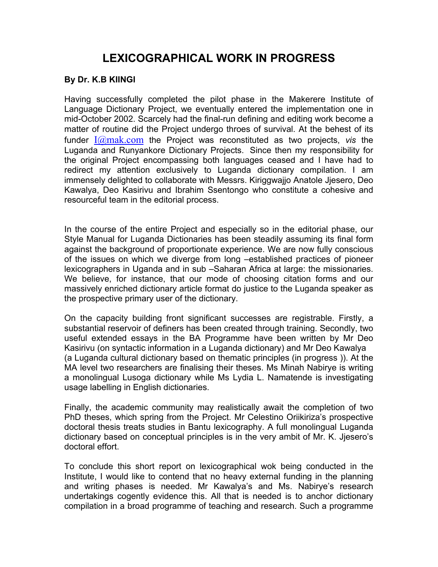## **LEXICOGRAPHICAL WORK IN PROGRESS**

## **By Dr. K.B KIINGI**

Having successfully completed the pilot phase in the Makerere Institute of Language Dictionary Project, we eventually entered the implementation one in mid-October 2002. Scarcely had the final-run defining and editing work become a matter of routine did the Project undergo throes of survival. At the behest of its funder  $\frac{I(a) \text{mak.com}}{I(a)}$  the Project was reconstituted as two projects, vis the Luganda and Runyankore Dictionary Projects. Since then my responsibility for the original Project encompassing both languages ceased and I have had to redirect my attention exclusively to Luganda dictionary compilation. I am immensely delighted to collaborate with Messrs. Kiriggwajjo Anatole Jjesero, Deo Kawalya, Deo Kasirivu and Ibrahim Ssentongo who constitute a cohesive and resourceful team in the editorial process.

In the course of the entire Project and especially so in the editorial phase, our Style Manual for Luganda Dictionaries has been steadily assuming its final form against the background of proportionate experience. We are now fully conscious of the issues on which we diverge from long –established practices of pioneer lexicographers in Uganda and in sub –Saharan Africa at large: the missionaries. We believe, for instance, that our mode of choosing citation forms and our massively enriched dictionary article format do justice to the Luganda speaker as the prospective primary user of the dictionary.

On the capacity building front significant successes are registrable. Firstly, a substantial reservoir of definers has been created through training. Secondly, two useful extended essays in the BA Programme have been written by Mr Deo Kasirivu (on syntactic information in a Luganda dictionary) and Mr Deo Kawalya (a Luganda cultural dictionary based on thematic principles (in progress )). At the MA level two researchers are finalising their theses. Ms Minah Nabirye is writing a monolingual Lusoga dictionary while Ms Lydia L. Namatende is investigating usage labelling in English dictionaries.

Finally, the academic community may realistically await the completion of two PhD theses, which spring from the Project. Mr Celestino Oriikiriza's prospective doctoral thesis treats studies in Bantu lexicography. A full monolingual Luganda dictionary based on conceptual principles is in the very ambit of Mr. K. Jjesero's doctoral effort.

To conclude this short report on lexicographical wok being conducted in the Institute, I would like to contend that no heavy external funding in the planning and writing phases is needed. Mr Kawalya's and Ms. Nabirye's research undertakings cogently evidence this. All that is needed is to anchor dictionary compilation in a broad programme of teaching and research. Such a programme